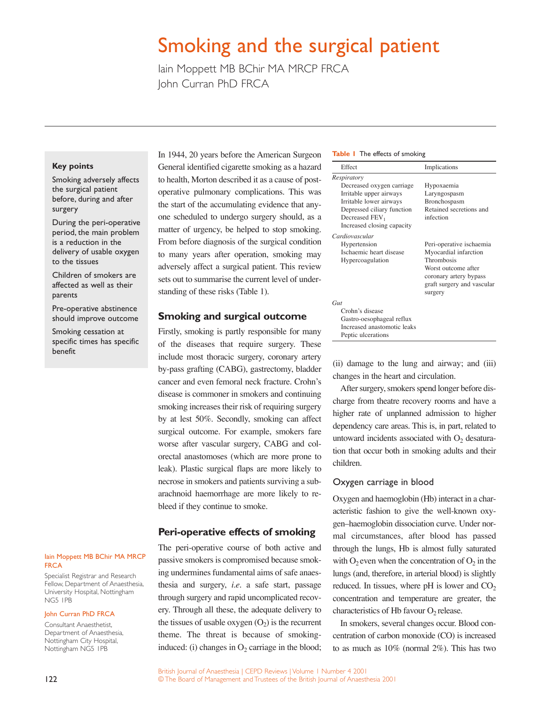# Smoking and the surgical patient

Iain Moppett MB BChir MA MRCP FRCA John Curran PhD FRCA

## **Key points**

Smoking adversely affects the surgical patient before, during and after surgery

During the peri-operative period, the main problem is a reduction in the delivery of usable oxygen to the tissues

Children of smokers are affected as well as their parents

Pre-operative abstinence should improve outcome

Smoking cessation at specific times has specific benefit

# Iain Moppett MB BChir MA MRCP **FRCA**

Specialist Registrar and Research Fellow, Department of Anaesthesia, University Hospital, Nottingham NG5 1PB

#### John Curran PhD FRCA

Consultant Anaesthetist, Department of Anaesthesia, Nottingham City Hospital, Nottingham NG5 1PB

In 1944, 20 years before the American Surgeon General identified cigarette smoking as a hazard to health, Morton described it as a cause of postoperative pulmonary complications. This was the start of the accumulating evidence that anyone scheduled to undergo surgery should, as a matter of urgency, be helped to stop smoking. From before diagnosis of the surgical condition to many years after operation, smoking may adversely affect a surgical patient. This review sets out to summarise the current level of understanding of these risks (Table 1).

# **Smoking and surgical outcome**

Firstly, smoking is partly responsible for many of the diseases that require surgery. These include most thoracic surgery, coronary artery by-pass grafting (CABG), gastrectomy, bladder cancer and even femoral neck fracture. Crohn's disease is commoner in smokers and continuing smoking increases their risk of requiring surgery by at lest 50%. Secondly, smoking can affect surgical outcome. For example, smokers fare worse after vascular surgery, CABG and colorectal anastomoses (which are more prone to leak). Plastic surgical flaps are more likely to necrose in smokers and patients surviving a subarachnoid haemorrhage are more likely to rebleed if they continue to smoke.

# **Peri-operative effects of smoking**

The peri-operative course of both active and passive smokers is compromised because smoking undermines fundamental aims of safe anaesthesia and surgery, *i.e*. a safe start, passage through surgery and rapid uncomplicated recovery. Through all these, the adequate delivery to the tissues of usable oxygen  $(O_2)$  is the recurrent theme. The threat is because of smokinginduced: (i) changes in  $O_2$  carriage in the blood;

#### **Table 1** The effects of smoking

| Effect                                                                                                                                                                                   | Implications                                                                                                                                              |
|------------------------------------------------------------------------------------------------------------------------------------------------------------------------------------------|-----------------------------------------------------------------------------------------------------------------------------------------------------------|
| Respiratory<br>Decreased oxygen carriage<br>Irritable upper airways<br>Irritable lower airways<br>Depressed ciliary function<br>Decreased FEV <sub>1</sub><br>Increased closing capacity | Hypoxaemia<br>Laryngospasm<br>Bronchospasm<br>Retained secretions and<br>infection                                                                        |
| Cardiovascular<br>Hypertension<br>Ischaemic heart disease<br>Hypercoagulation                                                                                                            | Peri-operative ischaemia<br>Myocardial infarction<br>Thrombosis<br>Worst outcome after<br>coronary artery bypass<br>graft surgery and vascular<br>surgery |
| Gut<br>Crohn's disease<br>Gastro-oesophageal reflux<br>Increased anastomotic leaks<br>Peptic ulcerations                                                                                 |                                                                                                                                                           |

(ii) damage to the lung and airway; and (iii) changes in the heart and circulation.

After surgery, smokers spend longer before discharge from theatre recovery rooms and have a higher rate of unplanned admission to higher dependency care areas. This is, in part, related to untoward incidents associated with  $O_2$  desaturation that occur both in smoking adults and their children.

## Oxygen carriage in blood

Oxygen and haemoglobin (Hb) interact in a characteristic fashion to give the well-known oxygen–haemoglobin dissociation curve. Under normal circumstances, after blood has passed through the lungs, Hb is almost fully saturated with  $O_2$  even when the concentration of  $O_2$  in the lungs (and, therefore, in arterial blood) is slightly reduced. In tissues, where pH is lower and  $CO<sub>2</sub>$ concentration and temperature are greater, the characteristics of Hb favour  $O<sub>2</sub>$  release.

In smokers, several changes occur. Blood concentration of carbon monoxide (CO) is increased to as much as 10% (normal 2%). This has two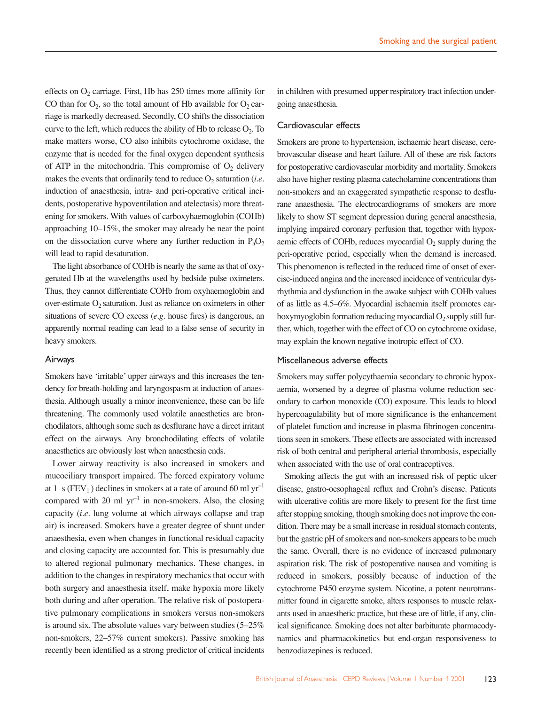effects on  $O_2$  carriage. First, Hb has 250 times more affinity for CO than for  $O_2$ , so the total amount of Hb available for  $O_2$  carriage is markedly decreased. Secondly, CO shifts the dissociation curve to the left, which reduces the ability of Hb to release  $O_2$ . To make matters worse, CO also inhibits cytochrome oxidase, the enzyme that is needed for the final oxygen dependent synthesis of ATP in the mitochondria. This compromise of  $O_2$  delivery makes the events that ordinarily tend to reduce  $O_2$  saturation (*i.e.* induction of anaesthesia, intra- and peri-operative critical incidents, postoperative hypoventilation and atelectasis) more threatening for smokers. With values of carboxyhaemoglobin (COHb) approaching 10–15%, the smoker may already be near the point on the dissociation curve where any further reduction in  $P_aO_2$ will lead to rapid desaturation.

The light absorbance of COHb is nearly the same as that of oxygenated Hb at the wavelengths used by bedside pulse oximeters. Thus, they cannot differentiate COHb from oxyhaemoglobin and over-estimate  $O_2$  saturation. Just as reliance on oximeters in other situations of severe CO excess (*e.g*. house fires) is dangerous, an apparently normal reading can lead to a false sense of security in heavy smokers.

## Airways

Smokers have 'irritable' upper airways and this increases the tendency for breath-holding and laryngospasm at induction of anaesthesia. Although usually a minor inconvenience, these can be life threatening. The commonly used volatile anaesthetics are bronchodilators, although some such as desflurane have a direct irritant effect on the airways. Any bronchodilating effects of volatile anaesthetics are obviously lost when anaesthesia ends.

Lower airway reactivity is also increased in smokers and mucociliary transport impaired. The forced expiratory volume at 1 s (FEV<sub>1</sub>) declines in smokers at a rate of around 60 ml yr<sup>-1</sup> compared with 20 ml  $yr^{-1}$  in non-smokers. Also, the closing capacity (*i.e*. lung volume at which airways collapse and trap air) is increased. Smokers have a greater degree of shunt under anaesthesia, even when changes in functional residual capacity and closing capacity are accounted for. This is presumably due to altered regional pulmonary mechanics. These changes, in addition to the changes in respiratory mechanics that occur with both surgery and anaesthesia itself, make hypoxia more likely both during and after operation. The relative risk of postoperative pulmonary complications in smokers versus non-smokers is around six. The absolute values vary between studies (5–25% non-smokers, 22–57% current smokers). Passive smoking has recently been identified as a strong predictor of critical incidents

in children with presumed upper respiratory tract infection undergoing anaesthesia.

#### Cardiovascular effects

Smokers are prone to hypertension, ischaemic heart disease, cerebrovascular disease and heart failure. All of these are risk factors for postoperative cardiovascular morbidity and mortality. Smokers also have higher resting plasma catecholamine concentrations than non-smokers and an exaggerated sympathetic response to desflurane anaesthesia. The electrocardiograms of smokers are more likely to show ST segment depression during general anaesthesia, implying impaired coronary perfusion that, together with hypoxaemic effects of COHb, reduces myocardial  $O<sub>2</sub>$  supply during the peri-operative period, especially when the demand is increased. This phenomenon is reflected in the reduced time of onset of exercise-induced angina and the increased incidence of ventricular dysrhythmia and dysfunction in the awake subject with COHb values of as little as 4.5–6%. Myocardial ischaemia itself promotes carboxymyoglobin formation reducing myocardial  $O_2$  supply still further, which, together with the effect of CO on cytochrome oxidase, may explain the known negative inotropic effect of CO.

#### Miscellaneous adverse effects

Smokers may suffer polycythaemia secondary to chronic hypoxaemia, worsened by a degree of plasma volume reduction secondary to carbon monoxide (CO) exposure. This leads to blood hypercoagulability but of more significance is the enhancement of platelet function and increase in plasma fibrinogen concentrations seen in smokers. These effects are associated with increased risk of both central and peripheral arterial thrombosis, especially when associated with the use of oral contraceptives.

Smoking affects the gut with an increased risk of peptic ulcer disease, gastro-oesophageal reflux and Crohn's disease. Patients with ulcerative colitis are more likely to present for the first time after stopping smoking, though smoking does not improve the condition. There may be a small increase in residual stomach contents, but the gastric pH of smokers and non-smokers appears to be much the same. Overall, there is no evidence of increased pulmonary aspiration risk. The risk of postoperative nausea and vomiting is reduced in smokers, possibly because of induction of the cytochrome P450 enzyme system. Nicotine, a potent neurotransmitter found in cigarette smoke, alters responses to muscle relaxants used in anaesthetic practice, but these are of little, if any, clinical significance. Smoking does not alter barbiturate pharmacodynamics and pharmacokinetics but end-organ responsiveness to benzodiazepines is reduced.